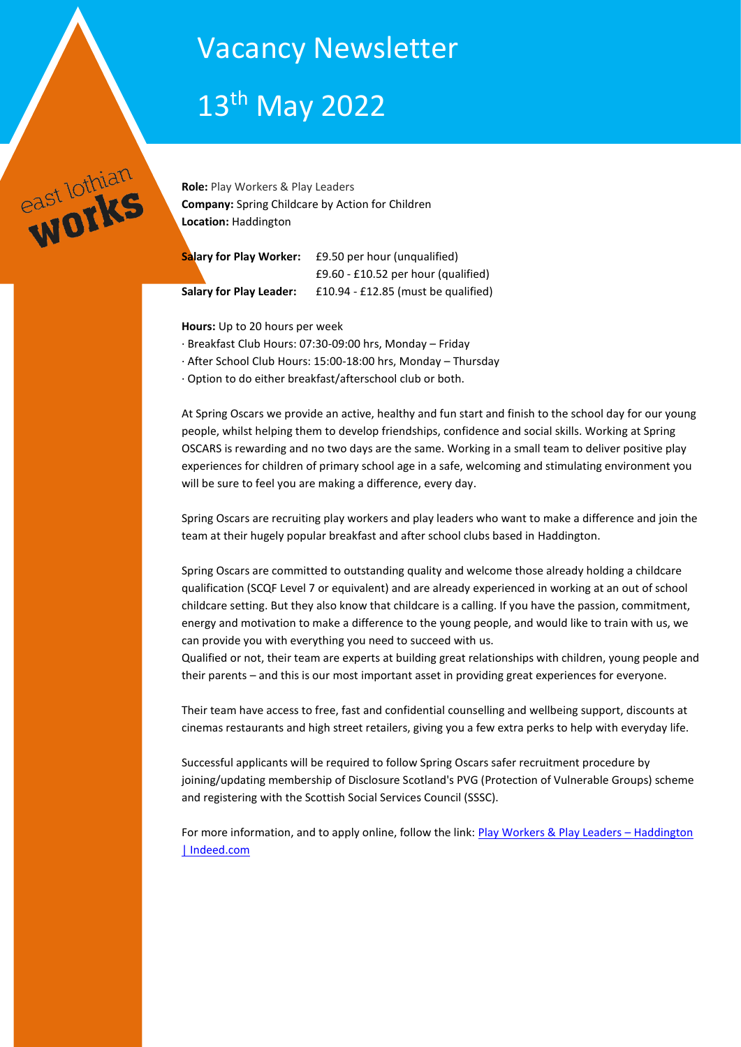# Vacancy Newsletter

# 13th May 2022



**Role:** Play Workers & Play Leaders **Company:** Spring Childcare by Action for Children **Location:** Haddington

| Salary for Play Worker: | £9.50 per hour (unqualified)          |
|-------------------------|---------------------------------------|
|                         | $£9.60 - £10.52$ per hour (qualified) |
| Salary for Play Leader: | £10.94 - £12.85 (must be qualified)   |

**Hours:** Up to 20 hours per week

- · Breakfast Club Hours: 07:30-09:00 hrs, Monday Friday
- · After School Club Hours: 15:00-18:00 hrs, Monday Thursday
- · Option to do either breakfast/afterschool club or both.

At Spring Oscars we provide an active, healthy and fun start and finish to the school day for our young people, whilst helping them to develop friendships, confidence and social skills. Working at Spring OSCARS is rewarding and no two days are the same. Working in a small team to deliver positive play experiences for children of primary school age in a safe, welcoming and stimulating environment you will be sure to feel you are making a difference, every day.

Spring Oscars are recruiting play workers and play leaders who want to make a difference and join the team at their hugely popular breakfast and after school clubs based in Haddington.

Spring Oscars are committed to outstanding quality and welcome those already holding a childcare qualification (SCQF Level 7 or equivalent) and are already experienced in working at an out of school childcare setting. But they also know that childcare is a calling. If you have the passion, commitment, energy and motivation to make a difference to the young people, and would like to train with us, we can provide you with everything you need to succeed with us.

Qualified or not, their team are experts at building great relationships with children, young people and their parents – and this is our most important asset in providing great experiences for everyone.

Their team have access to free, fast and confidential counselling and wellbeing support, discounts at cinemas restaurants and high street retailers, giving you a few extra perks to help with everyday life.

Successful applicants will be required to follow Spring Oscars safer recruitment procedure by joining/updating membership of Disclosure Scotland's PVG (Protection of Vulnerable Groups) scheme and registering with the Scottish Social Services Council (SSSC).

For more information, and to apply online, follow the link: [Play Workers & Play Leaders](https://uk.indeed.com/viewjob?jk=5425525da6f5d355&l=East+Lothian&tk=1g2u7r9omt1e0801&from=web&advn=9595058289761241&adid=389854099&ad=-6NYlbfkN0DS8zZkb_myVBzUzsC-uyTBsGcI6sEgABzRK0gKCT3WcaET1X72UQLLGiyjIwG-DwcFSd3dxI87D_Qk5uKt8fPE9iVi_pHcNjheeaOsGBYq-Q7YTS0vgNiTzuzIGtuEX9GAXVYmeYi6fNPS3B8L7jkaeadHZ-KyGpMxX0-CHLGvhN193lH2JZgrSDaPspsdkgofl3xGItHt-O8QJlMDORPzCav3ML3SCorcECzNygPV_y5t0l4a3olWTDq_4aZbD0WyfUTJNCJh5dyzeSFlIOMWj4gdViyMu_tbb0l_3hf8aJomsDkxJyY5MwzKQMaZ-A6UUjGdNyZZ_YcLyLwX8DAEnRL4gBKes8Tw3JOnnD0s0Q%3D%3D&pub=4a1b367933fd867b19b072952f68dceb&vjs=3) - Haddington [| Indeed.com](https://uk.indeed.com/viewjob?jk=5425525da6f5d355&l=East+Lothian&tk=1g2u7r9omt1e0801&from=web&advn=9595058289761241&adid=389854099&ad=-6NYlbfkN0DS8zZkb_myVBzUzsC-uyTBsGcI6sEgABzRK0gKCT3WcaET1X72UQLLGiyjIwG-DwcFSd3dxI87D_Qk5uKt8fPE9iVi_pHcNjheeaOsGBYq-Q7YTS0vgNiTzuzIGtuEX9GAXVYmeYi6fNPS3B8L7jkaeadHZ-KyGpMxX0-CHLGvhN193lH2JZgrSDaPspsdkgofl3xGItHt-O8QJlMDORPzCav3ML3SCorcECzNygPV_y5t0l4a3olWTDq_4aZbD0WyfUTJNCJh5dyzeSFlIOMWj4gdViyMu_tbb0l_3hf8aJomsDkxJyY5MwzKQMaZ-A6UUjGdNyZZ_YcLyLwX8DAEnRL4gBKes8Tw3JOnnD0s0Q%3D%3D&pub=4a1b367933fd867b19b072952f68dceb&vjs=3)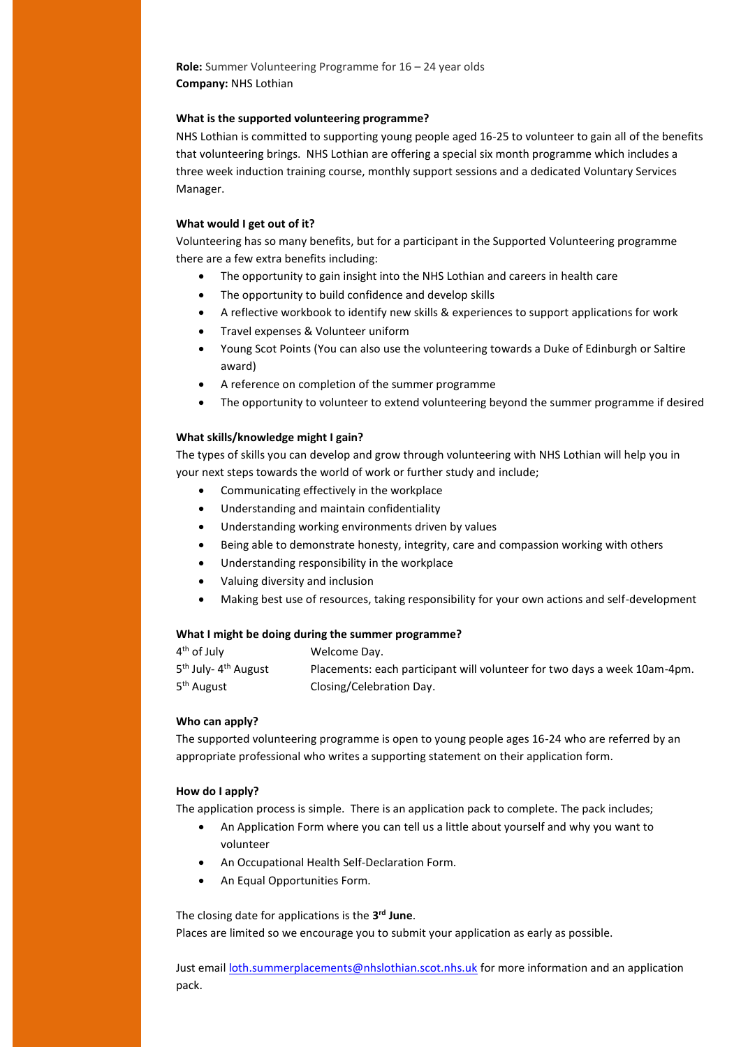**Role:** Summer Volunteering Programme for 16 – 24 year olds **Company:** NHS Lothian

#### **What is the supported volunteering programme?**

NHS Lothian is committed to supporting young people aged 16-25 to volunteer to gain all of the benefits that volunteering brings. NHS Lothian are offering a special six month programme which includes a three week induction training course, monthly support sessions and a dedicated Voluntary Services Manager.

# **What would I get out of it?**

Volunteering has so many benefits, but for a participant in the Supported Volunteering programme there are a few extra benefits including:

- The opportunity to gain insight into the NHS Lothian and careers in health care
- The opportunity to build confidence and develop skills
- A reflective workbook to identify new skills & experiences to support applications for work
- Travel expenses & Volunteer uniform
- Young Scot Points (You can also use the volunteering towards a Duke of Edinburgh or Saltire award)
- A reference on completion of the summer programme
- The opportunity to volunteer to extend volunteering beyond the summer programme if desired

## **What skills/knowledge might I gain?**

The types of skills you can develop and grow through volunteering with NHS Lothian will help you in your next steps towards the world of work or further study and include;

- Communicating effectively in the workplace
- Understanding and maintain confidentiality
- Understanding working environments driven by values
- Being able to demonstrate honesty, integrity, care and compassion working with others
- Understanding responsibility in the workplace
- Valuing diversity and inclusion
- Making best use of resources, taking responsibility for your own actions and self-development

# **What I might be doing during the summer programme?**

| $4th$ of July                                | Welcome Day.                                                              |
|----------------------------------------------|---------------------------------------------------------------------------|
| 5 <sup>th</sup> July- 4 <sup>th</sup> August | Placements: each participant will volunteer for two days a week 10am-4pm. |
| 5 <sup>th</sup> August                       | Closing/Celebration Day.                                                  |

#### **Who can apply?**

The supported volunteering programme is open to young people ages 16-24 who are referred by an appropriate professional who writes a supporting statement on their application form.

#### **How do I apply?**

The application process is simple. There is an application pack to complete. The pack includes;

- An Application Form where you can tell us a little about yourself and why you want to volunteer
- An Occupational Health Self-Declaration Form.
- An Equal Opportunities Form.

The closing date for applications is the **3 rd June**. Places are limited so we encourage you to submit your application as early as possible.

Just email [loth.summerplacements@nhslothian.scot.nhs.uk](mailto:loth.summerplacements@nhslothian.scot.nhs.uk) for more information and an application pack.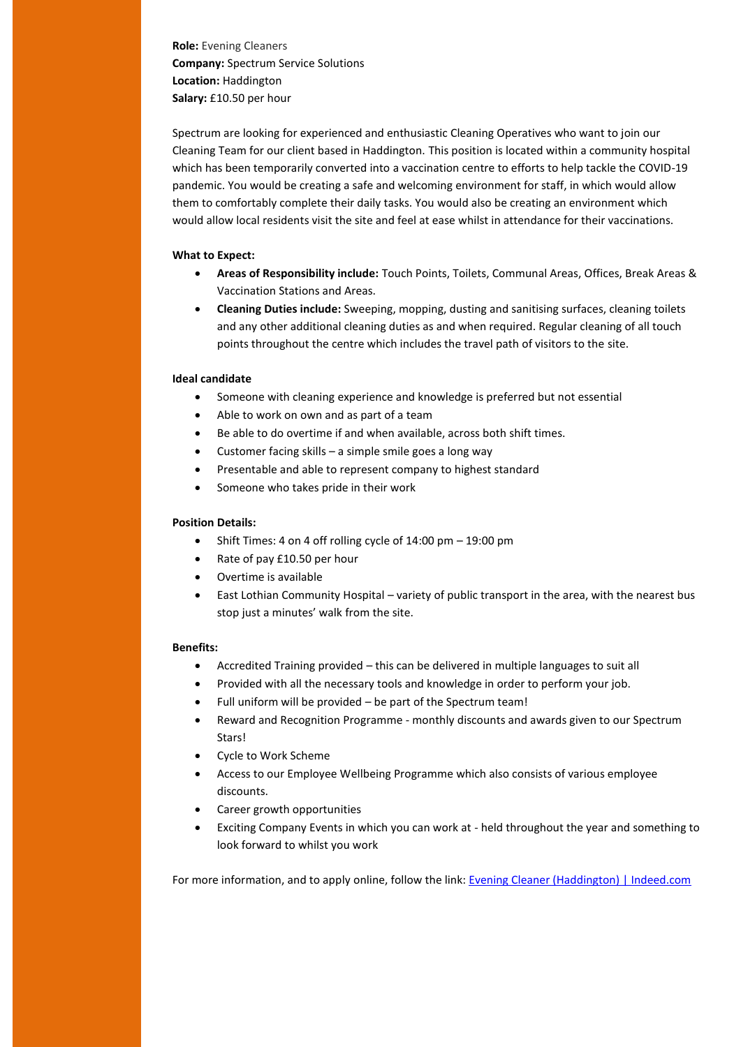**Role:** Evening Cleaners **Company:** Spectrum Service Solutions **Location:** Haddington **Salary:** £10.50 per hour

Spectrum are looking for experienced and enthusiastic Cleaning Operatives who want to join our Cleaning Team for our client based in Haddington. This position is located within a community hospital which has been temporarily converted into a vaccination centre to efforts to help tackle the COVID-19 pandemic. You would be creating a safe and welcoming environment for staff, in which would allow them to comfortably complete their daily tasks. You would also be creating an environment which would allow local residents visit the site and feel at ease whilst in attendance for their vaccinations.

# **What to Expect:**

- **Areas of Responsibility include:** Touch Points, Toilets, Communal Areas, Offices, Break Areas & Vaccination Stations and Areas.
- **Cleaning Duties include:** Sweeping, mopping, dusting and sanitising surfaces, cleaning toilets and any other additional cleaning duties as and when required. Regular cleaning of all touch points throughout the centre which includes the travel path of visitors to the site.

# **Ideal candidate**

- Someone with cleaning experience and knowledge is preferred but not essential
- Able to work on own and as part of a team
- Be able to do overtime if and when available, across both shift times.
- Customer facing skills a simple smile goes a long way
- Presentable and able to represent company to highest standard
- Someone who takes pride in their work

# **Position Details:**

- $\bullet$  Shift Times: 4 on 4 off rolling cycle of 14:00 pm 19:00 pm
- Rate of pay £10.50 per hour
- Overtime is available
- East Lothian Community Hospital variety of public transport in the area, with the nearest bus stop just a minutes' walk from the site.

## **Benefits:**

- Accredited Training provided this can be delivered in multiple languages to suit all
- Provided with all the necessary tools and knowledge in order to perform your job.
- Full uniform will be provided be part of the Spectrum team!
- Reward and Recognition Programme monthly discounts and awards given to our Spectrum Stars!
- Cycle to Work Scheme
- Access to our Employee Wellbeing Programme which also consists of various employee discounts.
- Career growth opportunities
- Exciting Company Events in which you can work at held throughout the year and something to look forward to whilst you work

For more information, and to apply online, follow the link: [Evening Cleaner \(Haddington\) | Indeed.com](https://uk.indeed.com/viewjob?jk=1320a05233320fc6&l=East+Lothian&tk=1g2u7r9omt1e0801&from=web&advn=7785358283598763&adid=388894857&ad=-6NYlbfkN0BWk5szeym5TUlaeYv_ZoSjRLTP6gGxIhJBIoWbTHhkugPZQ9CnyYi8qbesCvld4r_hfFg-T6caHtUwYPE21rrKi_Rl1t6xarMeqah4mqWUqiIRmzch_IcKNoerhIHhGrv8JRrHWKjdHJnJp3mlqJPbmHKIuVZ4-UO_tfzq0oYBsC8PrOFwrmthGYcHJxXzJHdnA4WULM09UAWA2ahT3M2GctLUe6kbiEGdcSemIV-KgAUHeQ4pXcPcco0Lky2w7g6CHO0apM2EPirhc4YFj5deH247XmRxmBlrUk-k-eY7pMpJ9gWGErAG2McmYT7BzlYkCSG_pAm1lKYZQnq1guXewfTReTtomJnlimDeEpQWlQ%3D%3D&pub=4a1b367933fd867b19b072952f68dceb&vjs=3)